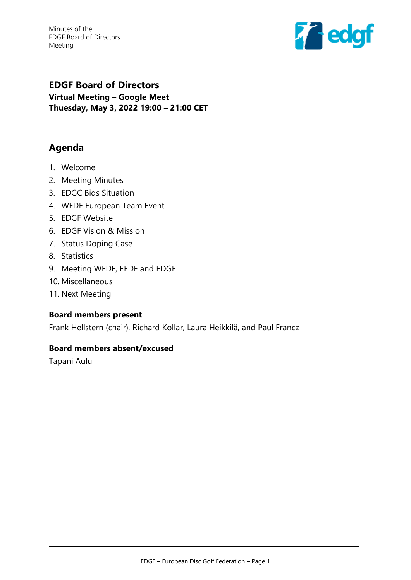Minutes of the EDGF Board of Directors Meeting



# **EDGF Board of Directors Virtual Meeting – Google Meet Thuesday, May 3, 2022 19:00 – 21:00 CET**

# **Agenda**

- 1. Welcome
- 2. Meeting Minutes
- 3. EDGC Bids Situation
- 4. WFDF European Team Event
- 5. EDGF Website
- 6. EDGF Vision & Mission
- 7. Status Doping Case
- 8. Statistics
- 9. Meeting WFDF, EFDF and EDGF
- 10. Miscellaneous
- 11. Next Meeting

#### **Board members present**

Frank Hellstern (chair), Richard Kollar, Laura Heikkilä, and Paul Francz

#### **Board members absent/excused**

Tapani Aulu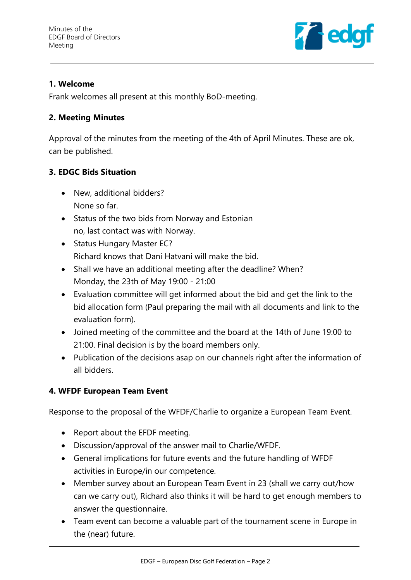

## **1. Welcome**

Frank welcomes all present at this monthly BoD-meeting.

## **2. Meeting Minutes**

Approval of the minutes from the meeting of the 4th of April Minutes. These are ok, can be published.

# **3. EDGC Bids Situation**

- New, additional bidders? None so far.
- Status of the two bids from Norway and Estonian no, last contact was with Norway.
- Status Hungary Master EC? Richard knows that Dani Hatvani will make the bid.
- Shall we have an additional meeting after the deadline? When? Monday, the 23th of May 19:00 - 21:00
- Evaluation committee will get informed about the bid and get the link to the bid allocation form (Paul preparing the mail with all documents and link to the evaluation form).
- Joined meeting of the committee and the board at the 14th of June 19:00 to 21:00. Final decision is by the board members only.
- Publication of the decisions asap on our channels right after the information of all bidders.

## **4. WFDF European Team Event**

Response to the proposal of the WFDF/Charlie to organize a European Team Event.

- Report about the EFDF meeting.
- Discussion/approval of the answer mail to Charlie/WFDF.
- General implications for future events and the future handling of WFDF activities in Europe/in our competence.
- Member survey about an European Team Event in 23 (shall we carry out/how can we carry out), Richard also thinks it will be hard to get enough members to answer the questionnaire.
- Team event can become a valuable part of the tournament scene in Europe in the (near) future.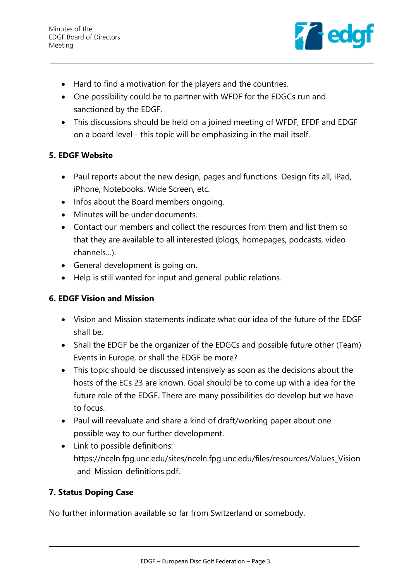

- Hard to find a motivation for the players and the countries.
- One possibility could be to partner with WFDF for the EDGCs run and sanctioned by the EDGF.
- This discussions should be held on a joined meeting of WFDF, EFDF and EDGF on a board level - this topic will be emphasizing in the mail itself.

### **5. EDGF Website**

- Paul reports about the new design, pages and functions. Design fits all, iPad, iPhone, Notebooks, Wide Screen, etc.
- Infos about the Board members ongoing.
- Minutes will be under documents.
- Contact our members and collect the resources from them and list them so that they are available to all interested (blogs, homepages, podcasts, video channels…).
- General development is going on.
- Help is still wanted for input and general public relations.

### **6. EDGF Vision and Mission**

- Vision and Mission statements indicate what our idea of the future of the EDGF shall be.
- Shall the EDGF be the organizer of the EDGCs and possible future other (Team) Events in Europe, or shall the EDGF be more?
- This topic should be discussed intensively as soon as the decisions about the hosts of the ECs 23 are known. Goal should be to come up with a idea for the future role of the EDGF. There are many possibilities do develop but we have to focus.
- Paul will reevaluate and share a kind of draft/working paper about one possible way to our further development.
- Link to possible definitions: https://nceln.fpg.unc.edu/sites/nceln.fpg.unc.edu/files/resources/Values\_Vision \_and\_Mission\_definitions.pdf.

## **7. Status Doping Case**

No further information available so far from Switzerland or somebody.